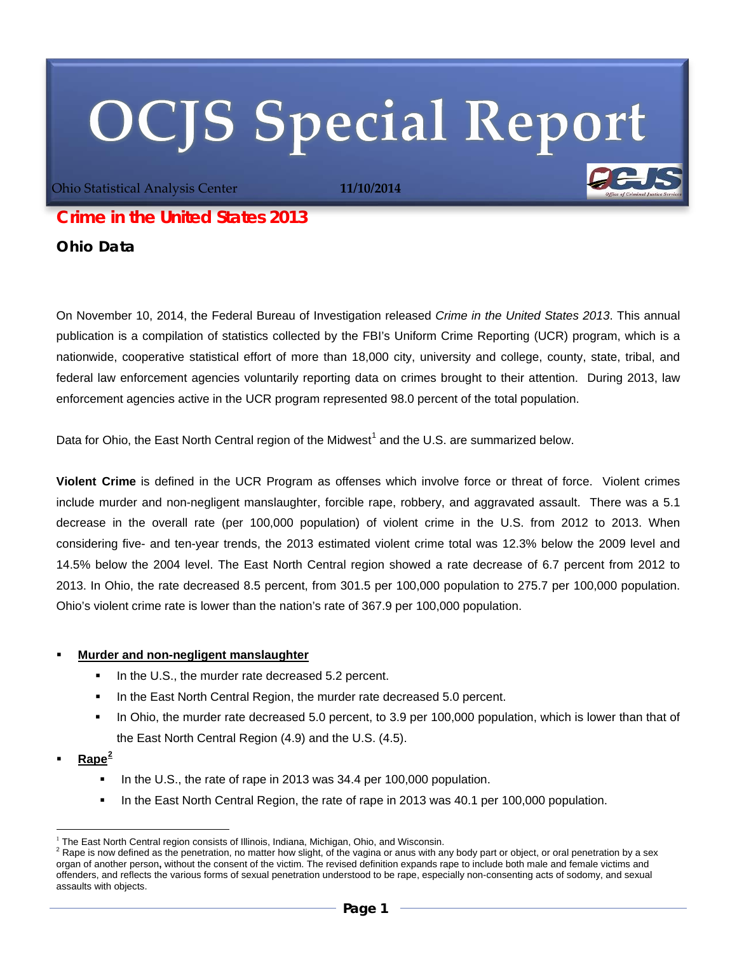# **OCJS Special Report**

Ohio Statistical Analysis Center **11/10/2014**

## *Crime in the United States 2013*

**Ohio Data**

On November 10, 2014, the Federal Bureau of Investigation released *Crime in the United States 2013*. This annual publication is a compilation of statistics collected by the FBI's Uniform Crime Reporting (UCR) program, which is a nationwide, cooperative statistical effort of more than 18,000 city, university and college, county, state, tribal, and federal law enforcement agencies voluntarily reporting data on crimes brought to their attention. During 2013, law enforcement agencies active in the UCR program represented 98.0 percent of the total population.

Data for Ohio, the East North Central region of the Midwest<sup>[1](#page-0-0)</sup> and the U.S. are summarized below.

**Violent Crime** is defined in the UCR Program as offenses which involve force or threat of force. Violent crimes include murder and non-negligent manslaughter, forcible rape, robbery, and aggravated assault. There was a 5.1 decrease in the overall rate (per 100,000 population) of violent crime in the U.S. from 2012 to 2013. When considering five- and ten-year trends, the 2013 estimated violent crime total was 12.3% below the 2009 level and 14.5% below the 2004 level. The East North Central region showed a rate decrease of 6.7 percent from 2012 to 2013. In Ohio, the rate decreased 8.5 percent, from 301.5 per 100,000 population to 275.7 per 100,000 population. Ohio's violent crime rate is lower than the nation's rate of 367.9 per 100,000 population.

#### **Murder and non-negligent manslaughter**

- In the U.S., the murder rate decreased 5.2 percent.
- In the East North Central Region, the murder rate decreased 5.0 percent.
- In Ohio, the murder rate decreased 5.0 percent, to 3.9 per 100,000 population, which is lower than that of the East North Central Region (4.9) and the U.S. (4.5).
- **Rape[2](#page-0-1)**
	- In the U.S., the rate of rape in 2013 was 34.4 per 100,000 population.
	- In the East North Central Region, the rate of rape in 2013 was 40.1 per 100,000 population.

<sup>&</sup>lt;u>.</u>

<span id="page-0-2"></span><span id="page-0-1"></span><span id="page-0-0"></span><sup>&</sup>lt;sup>1</sup> The East North Central region consists of Illinois, Indiana, Michigan, Ohio, and Wisconsin.<br><sup>2</sup> Rape is now defined as the penetration, no matter how slight, of the vagina or anus with any body part or object, or oral organ of another person**,** without the consent of the victim. The revised definition expands rape to include both male and female victims and offenders, and reflects the various forms of sexual penetration understood to be rape, especially non-consenting acts of sodomy, and sexual assaults with objects.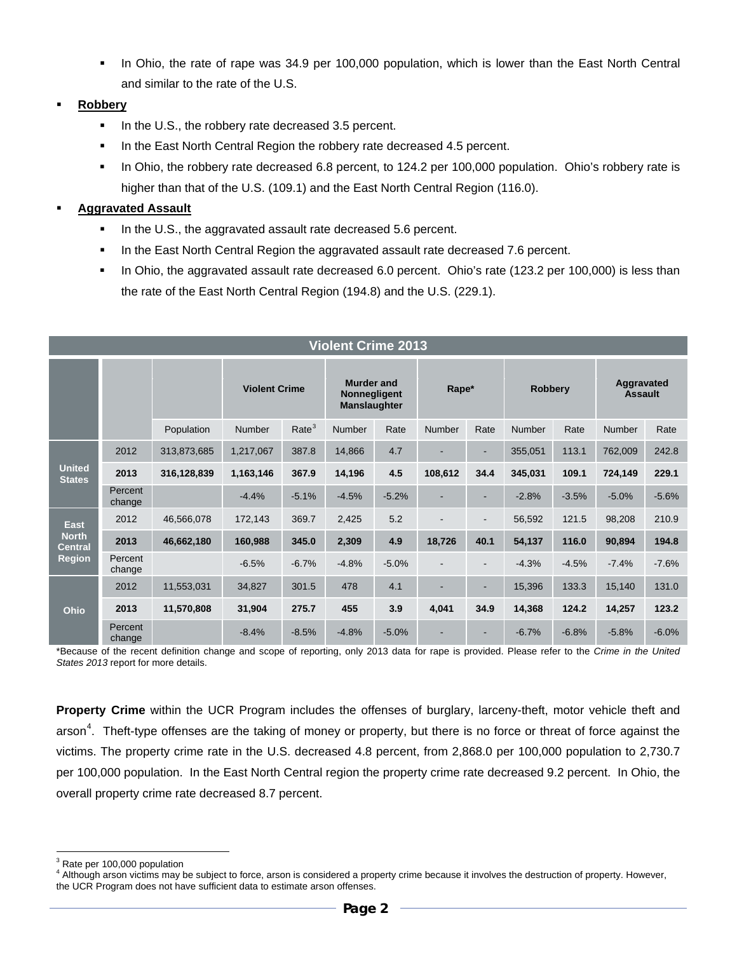In Ohio, the rate of rape was 34.9 per 100,000 population, which is lower than the East North Central and similar to the rate of the U.S.

#### **Robbery**

- In the U.S., the robbery rate decreased 3.5 percent.
- In the East North Central Region the robbery rate decreased 4.5 percent.
- In Ohio, the robbery rate decreased 6.8 percent, to 124.2 per 100,000 population. Ohio's robbery rate is higher than that of the U.S. (109.1) and the East North Central Region (116.0).

#### **Aggravated Assault**

- In the U.S., the aggravated assault rate decreased 5.6 percent.
- In the East North Central Region the aggravated assault rate decreased 7.6 percent.
- In Ohio, the aggravated assault rate decreased 6.0 percent. Ohio's rate (123.2 per 100,000) is less than the rate of the East North Central Region (194.8) and the U.S. (229.1).

| <b>Violent Crime 2013</b>                                      |                   |             |                      |                   |                                                          |         |               |                          |                |         |                              |         |
|----------------------------------------------------------------|-------------------|-------------|----------------------|-------------------|----------------------------------------------------------|---------|---------------|--------------------------|----------------|---------|------------------------------|---------|
|                                                                |                   |             | <b>Violent Crime</b> |                   | <b>Murder and</b><br>Nonnegligent<br><b>Manslaughter</b> |         | Rape*         |                          | <b>Robbery</b> |         | Aggravated<br><b>Assault</b> |         |
|                                                                |                   | Population  | <b>Number</b>        | Rate <sup>3</sup> | <b>Number</b>                                            | Rate    | <b>Number</b> | Rate                     | Number         | Rate    | Number                       | Rate    |
| <b>United</b><br><b>States</b>                                 | 2012              | 313,873,685 | 1,217,067            | 387.8             | 14,866                                                   | 4.7     |               | ٠                        | 355,051        | 113.1   | 762,009                      | 242.8   |
|                                                                | 2013              | 316,128,839 | 1,163,146            | 367.9             | 14,196                                                   | 4.5     | 108,612       | 34.4                     | 345,031        | 109.1   | 724,149                      | 229.1   |
|                                                                | Percent<br>change |             | $-4.4%$              | $-5.1%$           | $-4.5%$                                                  | $-5.2%$ | ٠             | ٠                        | $-2.8%$        | $-3.5%$ | $-5.0%$                      | $-5.6%$ |
| <b>East</b><br><b>North</b><br><b>Central</b><br><b>Region</b> | 2012              | 46,566,078  | 172,143              | 369.7             | 2,425                                                    | 5.2     |               | $\overline{\phantom{0}}$ | 56,592         | 121.5   | 98,208                       | 210.9   |
|                                                                | 2013              | 46,662,180  | 160,988              | 345.0             | 2,309                                                    | 4.9     | 18,726        | 40.1                     | 54,137         | 116.0   | 90,894                       | 194.8   |
|                                                                | Percent<br>change |             | $-6.5%$              | $-6.7%$           | $-4.8%$                                                  | $-5.0%$ |               |                          | $-4.3%$        | $-4.5%$ | $-7.4%$                      | $-7.6%$ |
| Ohio                                                           | 2012              | 11,553,031  | 34,827               | 301.5             | 478                                                      | 4.1     | ٠             | ٠                        | 15,396         | 133.3   | 15,140                       | 131.0   |
|                                                                | 2013              | 11,570,808  | 31,904               | 275.7             | 455                                                      | 3.9     | 4,041         | 34.9                     | 14,368         | 124.2   | 14,257                       | 123.2   |
|                                                                | Percent<br>change |             | $-8.4%$              | $-8.5%$           | $-4.8%$                                                  | $-5.0%$ |               |                          | $-6.7%$        | $-6.8%$ | $-5.8%$                      | $-6.0%$ |

\*Because of the recent definition change and scope of reporting, only 2013 data for rape is provided. Please refer to the *Crime in the United States 2013* report for more details.

**Property Crime** within the UCR Program includes the offenses of burglary, larceny-theft, motor vehicle theft and arson<sup>[4](#page-1-0)</sup>. Theft-type offenses are the taking of money or property, but there is no force or threat of force against the victims. The property crime rate in the U.S. decreased 4.8 percent, from 2,868.0 per 100,000 population to 2,730.7 per 100,000 population. In the East North Central region the property crime rate decreased 9.2 percent. In Ohio, the overall property crime rate decreased 8.7 percent.

1

<span id="page-1-0"></span> $^3$  Rate per 100,000 population<br> $^4$  Although arson victims may be subject to force, arson is considered a property crime because it involves the destruction of property. However, the UCR Program does not have sufficient data to estimate arson offenses.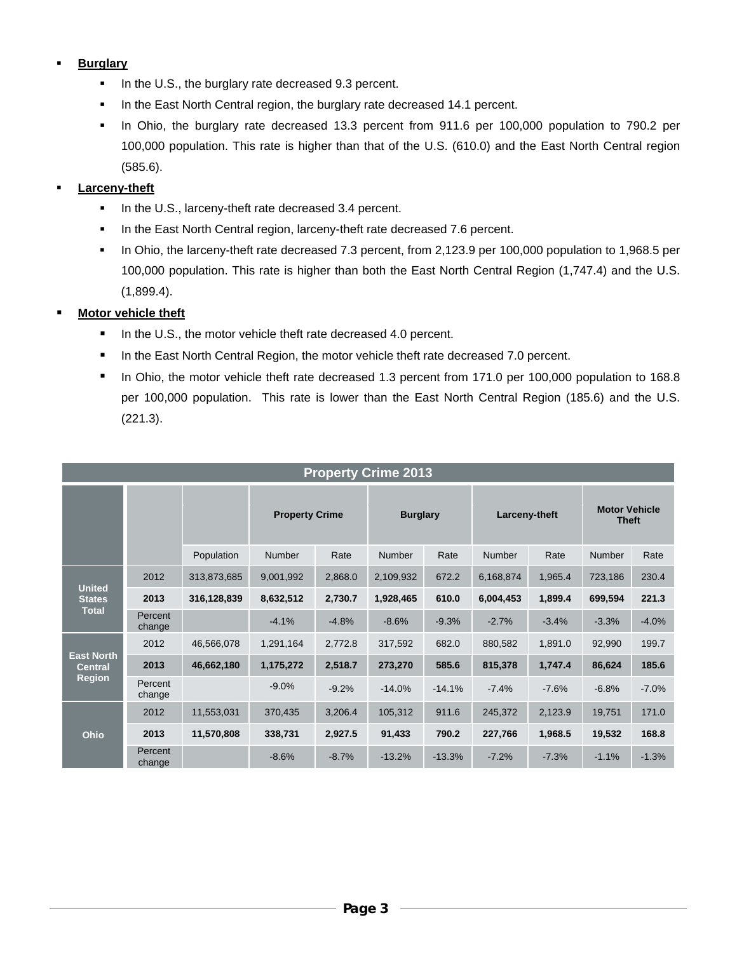#### **Burglary**

- In the U.S., the burglary rate decreased 9.3 percent.
- In the East North Central region, the burglary rate decreased 14.1 percent.
- In Ohio, the burglary rate decreased 13.3 percent from 911.6 per 100,000 population to 790.2 per 100,000 population. This rate is higher than that of the U.S. (610.0) and the East North Central region (585.6).

#### **Larceny-theft**

- In the U.S., larceny-theft rate decreased 3.4 percent.
- In the East North Central region, larceny-theft rate decreased 7.6 percent.
- In Ohio, the larceny-theft rate decreased 7.3 percent, from 2,123.9 per 100,000 population to 1,968.5 per 100,000 population. This rate is higher than both the East North Central Region (1,747.4) and the U.S. (1,899.4).

#### **Motor vehicle theft**

- In the U.S., the motor vehicle theft rate decreased 4.0 percent.
- **In the East North Central Region, the motor vehicle theft rate decreased 7.0 percent.**
- In Ohio, the motor vehicle theft rate decreased 1.3 percent from 171.0 per 100,000 population to 168.8 per 100,000 population. This rate is lower than the East North Central Region (185.6) and the U.S. (221.3).

| <b>Property Crime 2013</b>                           |                   |             |                       |         |                 |          |               |         |                                      |         |
|------------------------------------------------------|-------------------|-------------|-----------------------|---------|-----------------|----------|---------------|---------|--------------------------------------|---------|
|                                                      |                   |             | <b>Property Crime</b> |         | <b>Burglary</b> |          | Larceny-theft |         | <b>Motor Vehicle</b><br><b>Theft</b> |         |
|                                                      |                   | Population  | Number                | Rate    | <b>Number</b>   | Rate     | <b>Number</b> | Rate    | <b>Number</b>                        | Rate    |
| <b>United</b><br><b>States</b><br><b>Total</b>       | 2012              | 313,873,685 | 9,001,992             | 2,868.0 | 2,109,932       | 672.2    | 6,168,874     | 1,965.4 | 723,186                              | 230.4   |
|                                                      | 2013              | 316,128,839 | 8,632,512             | 2,730.7 | 1,928,465       | 610.0    | 6,004,453     | 1,899.4 | 699,594                              | 221.3   |
|                                                      | Percent<br>change |             | $-4.1%$               | $-4.8%$ | $-8.6%$         | $-9.3%$  | $-2.7%$       | $-3.4%$ | $-3.3%$                              | $-4.0%$ |
| <b>East North</b><br><b>Central</b><br><b>Region</b> | 2012              | 46,566,078  | 1,291,164             | 2,772.8 | 317,592         | 682.0    | 880,582       | 1,891.0 | 92,990                               | 199.7   |
|                                                      | 2013              | 46,662,180  | 1,175,272             | 2,518.7 | 273,270         | 585.6    | 815,378       | 1,747.4 | 86,624                               | 185.6   |
|                                                      | Percent<br>change |             | $-9.0%$               | $-9.2%$ | $-14.0%$        | $-14.1%$ | $-7.4%$       | $-7.6%$ | $-6.8%$                              | $-7.0%$ |
| Ohio                                                 | 2012              | 11,553,031  | 370,435               | 3,206.4 | 105,312         | 911.6    | 245,372       | 2,123.9 | 19,751                               | 171.0   |
|                                                      | 2013              | 11,570,808  | 338,731               | 2,927.5 | 91,433          | 790.2    | 227,766       | 1,968.5 | 19,532                               | 168.8   |
|                                                      | Percent<br>change |             | $-8.6%$               | $-8.7%$ | $-13.2%$        | $-13.3%$ | $-7.2%$       | $-7.3%$ | $-1.1%$                              | $-1.3%$ |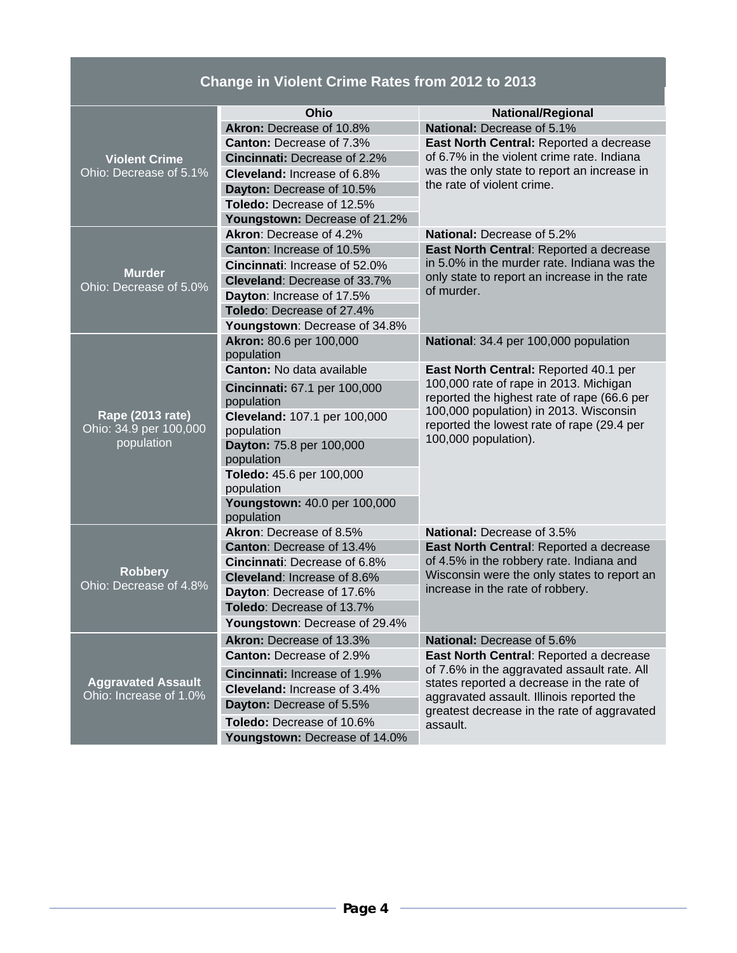## **Change in Violent Crime Rates from 2012 to 2013**

|                           | <b>Ohio</b>                             | <b>National/Regional</b>                                                                                                                                                                         |  |  |  |  |
|---------------------------|-----------------------------------------|--------------------------------------------------------------------------------------------------------------------------------------------------------------------------------------------------|--|--|--|--|
|                           | Akron: Decrease of 10.8%                | National: Decrease of 5.1%                                                                                                                                                                       |  |  |  |  |
|                           | <b>Canton: Decrease of 7.3%</b>         | East North Central: Reported a decrease                                                                                                                                                          |  |  |  |  |
| <b>Violent Crime</b>      | <b>Cincinnati: Decrease of 2.2%</b>     | of 6.7% in the violent crime rate. Indiana                                                                                                                                                       |  |  |  |  |
| Ohio: Decrease of 5.1%    | Cleveland: Increase of 6.8%             | was the only state to report an increase in                                                                                                                                                      |  |  |  |  |
|                           | Dayton: Decrease of 10.5%               | the rate of violent crime.                                                                                                                                                                       |  |  |  |  |
|                           | Toledo: Decrease of 12.5%               |                                                                                                                                                                                                  |  |  |  |  |
|                           | Youngstown: Decrease of 21.2%           |                                                                                                                                                                                                  |  |  |  |  |
|                           | Akron: Decrease of 4.2%                 | <b>National:</b> Decrease of 5.2%                                                                                                                                                                |  |  |  |  |
|                           | Canton: Increase of 10.5%               | East North Central: Reported a decrease                                                                                                                                                          |  |  |  |  |
| <b>Murder</b>             | Cincinnati: Increase of 52.0%           | in 5.0% in the murder rate. Indiana was the<br>only state to report an increase in the rate                                                                                                      |  |  |  |  |
| Ohio: Decrease of 5.0%    | Cleveland: Decrease of 33.7%            |                                                                                                                                                                                                  |  |  |  |  |
|                           | of murder.<br>Dayton: Increase of 17.5% |                                                                                                                                                                                                  |  |  |  |  |
|                           | Toledo: Decrease of 27.4%               |                                                                                                                                                                                                  |  |  |  |  |
|                           | Youngstown: Decrease of 34.8%           |                                                                                                                                                                                                  |  |  |  |  |
|                           | Akron: 80.6 per 100,000                 | National: 34.4 per 100,000 population                                                                                                                                                            |  |  |  |  |
|                           | population                              |                                                                                                                                                                                                  |  |  |  |  |
|                           | <b>Canton:</b> No data available        | East North Central: Reported 40.1 per<br>100,000 rate of rape in 2013. Michigan<br>reported the highest rate of rape (66.6 per<br>100,000 population) in 2013. Wisconsin                         |  |  |  |  |
|                           | Cincinnati: 67.1 per 100,000            |                                                                                                                                                                                                  |  |  |  |  |
|                           | population                              |                                                                                                                                                                                                  |  |  |  |  |
| Rape (2013 rate)          | Cleveland: 107.1 per 100,000            | reported the lowest rate of rape (29.4 per                                                                                                                                                       |  |  |  |  |
| Ohio: 34.9 per 100,000    | population                              | 100,000 population).                                                                                                                                                                             |  |  |  |  |
| population                | Dayton: 75.8 per 100,000                |                                                                                                                                                                                                  |  |  |  |  |
|                           | population                              |                                                                                                                                                                                                  |  |  |  |  |
|                           | Toledo: 45.6 per 100,000<br>population  |                                                                                                                                                                                                  |  |  |  |  |
|                           | Youngstown: 40.0 per 100,000            |                                                                                                                                                                                                  |  |  |  |  |
|                           | population                              |                                                                                                                                                                                                  |  |  |  |  |
|                           | Akron: Decrease of 8.5%                 | <b>National: Decrease of 3.5%</b>                                                                                                                                                                |  |  |  |  |
|                           | <b>Canton: Decrease of 13.4%</b>        | East North Central: Reported a decrease                                                                                                                                                          |  |  |  |  |
|                           | <b>Cincinnati: Decrease of 6.8%</b>     | of 4.5% in the robbery rate. Indiana and<br>Wisconsin were the only states to report an<br>increase in the rate of robbery.                                                                      |  |  |  |  |
| <b>Robbery</b>            | <b>Cleveland: Increase of 8.6%</b>      |                                                                                                                                                                                                  |  |  |  |  |
| Ohio: Decrease of 4.8%    | Dayton: Decrease of 17.6%               |                                                                                                                                                                                                  |  |  |  |  |
|                           | Toledo: Decrease of 13.7%               |                                                                                                                                                                                                  |  |  |  |  |
|                           | Youngstown: Decrease of 29.4%           |                                                                                                                                                                                                  |  |  |  |  |
|                           | Akron: Decrease of 13.3%                | National: Decrease of 5.6%                                                                                                                                                                       |  |  |  |  |
|                           | <b>Canton: Decrease of 2.9%</b>         | East North Central: Reported a decrease                                                                                                                                                          |  |  |  |  |
|                           | Cincinnati: Increase of 1.9%            | of 7.6% in the aggravated assault rate. All<br>states reported a decrease in the rate of<br>aggravated assault. Illinois reported the<br>greatest decrease in the rate of aggravated<br>assault. |  |  |  |  |
| <b>Aggravated Assault</b> | Cleveland: Increase of 3.4%             |                                                                                                                                                                                                  |  |  |  |  |
| Ohio: Increase of 1.0%    | Dayton: Decrease of 5.5%                |                                                                                                                                                                                                  |  |  |  |  |
|                           | Toledo: Decrease of 10.6%               |                                                                                                                                                                                                  |  |  |  |  |
|                           |                                         |                                                                                                                                                                                                  |  |  |  |  |
|                           | Youngstown: Decrease of 14.0%           |                                                                                                                                                                                                  |  |  |  |  |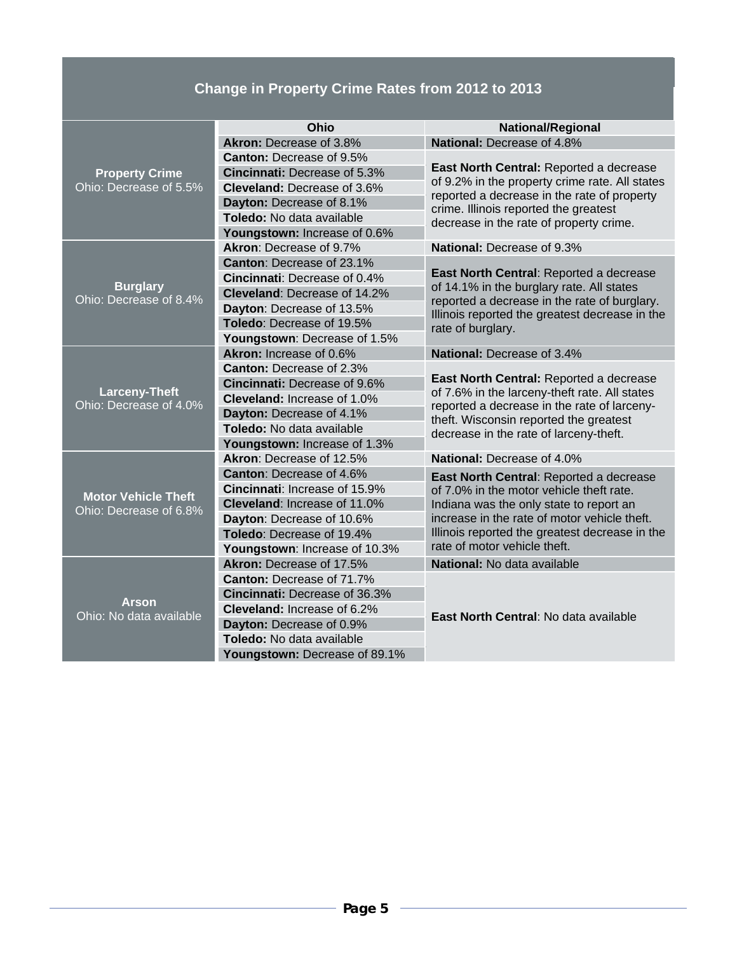# **Change in Property Crime Rates from 2012 to 2013**

|                                                | Ohio                                 | <b>National/Regional</b>                                                                                                                                                               |  |  |  |  |
|------------------------------------------------|--------------------------------------|----------------------------------------------------------------------------------------------------------------------------------------------------------------------------------------|--|--|--|--|
|                                                | Akron: Decrease of 3.8%              | National: Decrease of 4.8%                                                                                                                                                             |  |  |  |  |
|                                                | <b>Canton: Decrease of 9.5%</b>      |                                                                                                                                                                                        |  |  |  |  |
| <b>Property Crime</b>                          | Cincinnati: Decrease of 5.3%         | East North Central: Reported a decrease<br>of 9.2% in the property crime rate. All states                                                                                              |  |  |  |  |
| Ohio: Decrease of 5.5%                         | <b>Cleveland: Decrease of 3.6%</b>   |                                                                                                                                                                                        |  |  |  |  |
|                                                | Dayton: Decrease of 8.1%             | reported a decrease in the rate of property<br>crime. Illinois reported the greatest                                                                                                   |  |  |  |  |
|                                                | Toledo: No data available            | decrease in the rate of property crime.                                                                                                                                                |  |  |  |  |
|                                                | Youngstown: Increase of 0.6%         |                                                                                                                                                                                        |  |  |  |  |
|                                                | Akron: Decrease of 9.7%              | National: Decrease of 9.3%                                                                                                                                                             |  |  |  |  |
|                                                | Canton: Decrease of 23.1%            |                                                                                                                                                                                        |  |  |  |  |
|                                                | Cincinnati: Decrease of 0.4%         | East North Central: Reported a decrease<br>of 14.1% in the burglary rate. All states<br>reported a decrease in the rate of burglary.<br>Illinois reported the greatest decrease in the |  |  |  |  |
| <b>Burglary</b><br>Ohio: Decrease of 8.4%      | Cleveland: Decrease of 14.2%         |                                                                                                                                                                                        |  |  |  |  |
|                                                | Dayton: Decrease of 13.5%            |                                                                                                                                                                                        |  |  |  |  |
|                                                | Toledo: Decrease of 19.5%            | rate of burglary.                                                                                                                                                                      |  |  |  |  |
|                                                | Youngstown: Decrease of 1.5%         |                                                                                                                                                                                        |  |  |  |  |
|                                                | Akron: Increase of 0.6%              | <b>National: Decrease of 3.4%</b>                                                                                                                                                      |  |  |  |  |
|                                                | <b>Canton: Decrease of 2.3%</b>      |                                                                                                                                                                                        |  |  |  |  |
|                                                | <b>Cincinnati: Decrease of 9.6%</b>  | East North Central: Reported a decrease                                                                                                                                                |  |  |  |  |
| <b>Larceny-Theft</b><br>Ohio: Decrease of 4.0% | Cleveland: Increase of 1.0%          | of 7.6% in the larceny-theft rate. All states<br>reported a decrease in the rate of larceny-                                                                                           |  |  |  |  |
|                                                | Dayton: Decrease of 4.1%             | theft. Wisconsin reported the greatest                                                                                                                                                 |  |  |  |  |
|                                                | Toledo: No data available            | decrease in the rate of larceny-theft.                                                                                                                                                 |  |  |  |  |
|                                                | Youngstown: Increase of 1.3%         |                                                                                                                                                                                        |  |  |  |  |
|                                                | Akron: Decrease of 12.5%             | <b>National: Decrease of 4.0%</b>                                                                                                                                                      |  |  |  |  |
|                                                | <b>Canton: Decrease of 4.6%</b>      | East North Central: Reported a decrease                                                                                                                                                |  |  |  |  |
| <b>Motor Vehicle Theft</b>                     | <b>Cincinnati: Increase of 15.9%</b> | of 7.0% in the motor vehicle theft rate.<br>Indiana was the only state to report an<br>increase in the rate of motor vehicle theft.                                                    |  |  |  |  |
| Ohio: Decrease of 6.8%                         | Cleveland: Increase of 11.0%         |                                                                                                                                                                                        |  |  |  |  |
|                                                | Dayton: Decrease of 10.6%            |                                                                                                                                                                                        |  |  |  |  |
|                                                | Toledo: Decrease of 19.4%            | Illinois reported the greatest decrease in the                                                                                                                                         |  |  |  |  |
|                                                | Youngstown: Increase of 10.3%        | rate of motor vehicle theft.                                                                                                                                                           |  |  |  |  |
|                                                | Akron: Decrease of 17.5%             | National: No data available                                                                                                                                                            |  |  |  |  |
|                                                | <b>Canton:</b> Decrease of 71.7%     |                                                                                                                                                                                        |  |  |  |  |
| <b>Arson</b>                                   | Cincinnati: Decrease of 36.3%        |                                                                                                                                                                                        |  |  |  |  |
| Ohio: No data available                        | Cleveland: Increase of 6.2%          | East North Central: No data available                                                                                                                                                  |  |  |  |  |
|                                                | Dayton: Decrease of 0.9%             |                                                                                                                                                                                        |  |  |  |  |
|                                                | Toledo: No data available            |                                                                                                                                                                                        |  |  |  |  |
|                                                | Youngstown: Decrease of 89.1%        |                                                                                                                                                                                        |  |  |  |  |